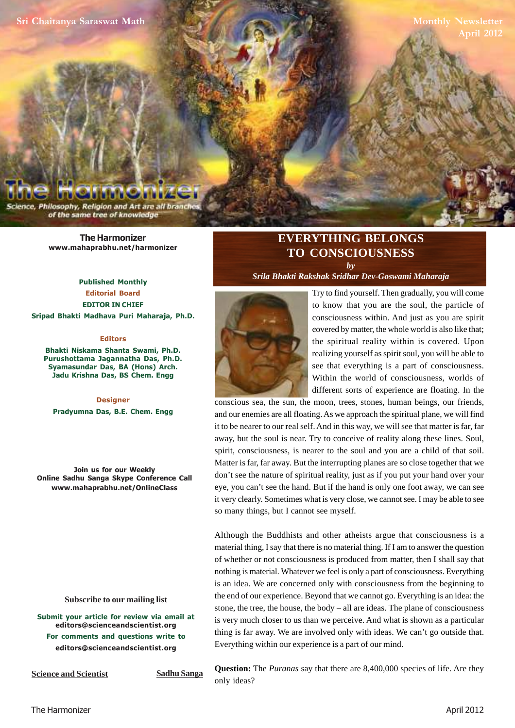**[Sri Chaitanya Saraswat Math](http://www.mahaprabhu.net/satsanga/harmonizer)**

**Monthly Newsletter April 2012**

Philosophy, Religion and Art are all bra of the same tree of knowledge

> **[The Harmonizer](http://www.mahaprabhu.net/satsanga/harmonizer) www.mahaprabhu.net/harmonizer**

**Published Monthly Editorial Board EDITOR IN CHIEF [Sripad Bhakti Madhava Puri Maharaja, Ph.D.](http://mahaprabhu.net/sadhusanga/blog1.php/2009/10/01/affectionate-guardians)**

#### **Editors**

**Bhakti Niskama Shanta Swami, Ph.D. Purushottama Jagannatha Das, Ph.D. Syamasundar Das, BA (Hons) Arch. Jadu Krishna Das, BS Chem. Engg**

**Designer Pradyumna Das, B.E. Chem. Engg**

**Join us for our Weekly Online Sadhu Sanga Skype Conference Call www.mahaprabhu.net/OnlineClass**

#### **<u>Subscribe to our mailing list</u>**

**Submit your article for review via email at editors@scienceandscientist.org For comments and questions write to editors@scienceandscientist.org**

**Science and Scientist Sadhu Sanga** 

## **EVERYTHING BELONGS TO CONSCIOUSNESS** *by*

*[Srila Bhakti Rakshak Sridhar Dev-Goswami Maharaja](http://www.scsmath.com/docs/sridhar_maharaj.html)*



 . covered by matter, the whole world is also like that; Try to find yourself. Then gradually, you will come to know that you are the soul, the particle of consciousness within. And just as you are spirit the spiritual reality within is covered. Upon realizing yourself as spirit soul, you will be able to see that everything is a part of consciousness. Within the world of consciousness, worlds of different sorts of experience are floating. In the

conscious sea, the sun, the moon, trees, stones, human beings, our friends, and our enemies are all floating. As we approach the spiritual plane, we will find it to be nearer to our real self. And in this way, we will see that matter is far, far away, but the soul is near. Try to conceive of reality along these lines. Soul, spirit, consciousness, is nearer to the soul and you are a child of that soil. Matter is far, far away. But the interrupting planes are so close together that we don't see the nature of spiritual reality, just as if you put your hand over your eye, you can't see the hand. But if the hand is only one foot away, we can see it very clearly. Sometimes what is very close, we cannot see. I may be able to see so many things, but I cannot see myself.

Although the Buddhists and other atheists argue that consciousness is a material thing, I say that there is no material thing. If I am to answer the question of whether or not consciousness is produced from matter, then I shall say that nothing is material. Whatever we feel is only a part of consciousness. Everything is an idea. We are concerned only with consciousness from the beginning to the end of our experience. Beyond that we cannot go. Everything is an idea: the stone, the tree, the house, the body – all are ideas. The plane of consciousness is very much closer to us than we perceive. And what is shown as a particular thing is far away. We are involved only with ideas. We can't go outside that. Everything within our experience is a part of our mind.

**Question:** The *Puranas* say that there are 8,400,000 species of life. Are they only ideas?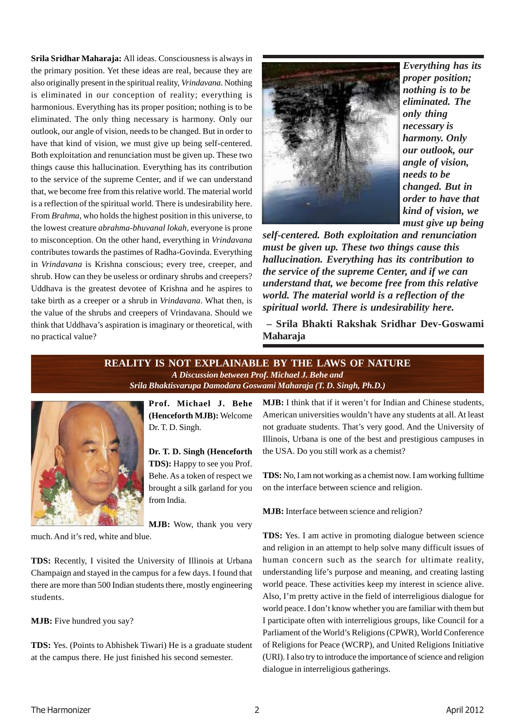**[Srila Sridhar Maharaja](http://www.scsmath.com/docs/sridhar_maharaj.html):** All ideas. Consciousness is always in the primary position. Yet these ideas are real, because they are also originally present in the spiritual reality, *Vrindavana*. Nothing is eliminated in our conception of reality; everything is harmonious. Everything has its proper position; nothing is to be eliminated. The only thing necessary is harmony. Only our outlook, our angle of vision, needs to be changed. But in order to have that kind of vision, we must give up being self-centered. Both exploitation and renunciation must be given up. These two things cause this hallucination. Everything has its contribution to the service of the supreme Center, and if we can understand that, we become free from this relative world. The material world is a reflection of the spiritual world. There is undesirability here. From *Brahma*, who holds the highest position in this universe, to the lowest creature *abrahma-bhuvanal lokah*, everyone is prone to misconception. On the other hand, everything in *Vrindavana* contributes towards the pastimes of Radha-Govinda. Everything in *Vrindavana* is Krishna conscious; every tree, creeper, and shrub. How can they be useless or ordinary shrubs and creepers? Uddhava is the greatest devotee of Krishna and he aspires to take birth as a creeper or a shrub in *Vrindavana*. What then, is the value of the shrubs and creepers of Vrindavana. Should we think that Uddhava's aspiration is imaginary or theoretical, with no practical value?



*Everything has its proper position; nothing is to be eliminated. The only thing necessary is harmony. Only our outlook, our angle of vision, needs to be changed. But in order to have that kind of vision, we must give up being*

*self-centered. Both exploitation and renunciation must be given up. These two things cause this hallucination. Everything has its contribution to the service of the supreme Center, and if we can understand that, we become free from this relative world. The material world is a reflection of the spiritual world. There is undesirability here.*

 **[– Srila Bhakti Rakshak Sridhar Dev-Goswami](http://www.scsmath.com/docs/sridhar_maharaj.html) Maharaja**

#### **REALITY IS NOT EXPLAINABLE BY THE LAWS OF NATURE** *A Discussion between Prof. Michael J. Behe and [Srila Bhaktisvarupa Damodara Goswami Maharaja \(T. D. Singh, Ph.D.\)](http://mahaprabhu.net/sadhusanga/blog1.php/2009/10/01/affectionate-guardians)*



**Prof. Michael J. Behe (Henceforth MJB):** Welcome [Dr. T. D. Singh](http://mahaprabhu.net/sadhusanga/blog1.php/2009/10/01/affectionate-guardians).

**[Dr. T. D. Singh](http://mahaprabhu.net/sadhusanga/blog1.php/2009/10/01/affectionate-guardians) (Henceforth [TDS](http://mahaprabhu.net/sadhusanga/blog1.php/2009/10/01/affectionate-guardians)):** Happy to see you Prof. Behe. As a token of respect we brought a silk garland for you from India.

**MJB:** Wow, thank you very

much. And it's red, white and blue.

**[TDS](http://mahaprabhu.net/sadhusanga/blog1.php/2009/10/01/affectionate-guardians):** Recently, I visited the University of Illinois at Urbana Champaign and stayed in the campus for a few days. I found that there are more than 500 Indian students there, mostly engineering students.

**MJB:** Five hundred you say?

**[TDS](http://mahaprabhu.net/sadhusanga/blog1.php/2009/10/01/affectionate-guardians):** Yes. (Points to Abhishek Tiwari) He is a graduate student at the campus there. He just finished his second semester.

**MJB:** I think that if it weren't for Indian and Chinese students, American universities wouldn't have any students at all. At least not graduate students. That's very good. And the University of Illinois, Urbana is one of the best and prestigious campuses in the USA. Do you still work as a chemist?

**[TDS:](http://mahaprabhu.net/sadhusanga/blog1.php/2009/10/01/affectionate-guardians)** No, I am not working as a chemist now. I am working fulltime on the interface between science and religion.

**MJB:** Interface between science and religion?

**[TDS](http://mahaprabhu.net/sadhusanga/blog1.php/2009/10/01/affectionate-guardians)**: Yes. I am active in promoting dialogue between science and religion in an attempt to help solve many difficult issues of human concern such as the search for ultimate reality, understanding life's purpose and meaning, and creating lasting world peace. These activities keep my interest in science alive. Also, I'm pretty active in the field of interreligious dialogue for world peace. I don't know whether you are familiar with them but I participate often with interreligious groups, like Council for a Parliament of the World's Religions (CPWR), World Conference of Religions for Peace (WCRP), and United Religions Initiative (URI). I also try to introduce the importance of science and religion dialogue in interreligious gatherings.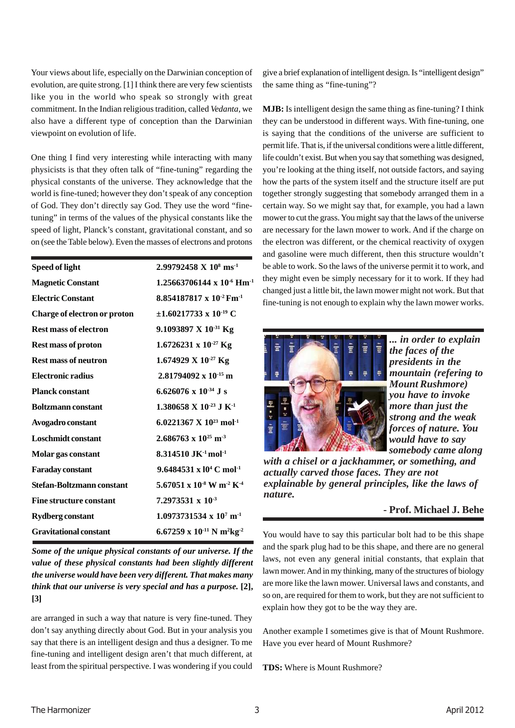Your views about life, especially on the Darwinian conception of evolution, are quite strong. [1] I think there are very few scientists like you in the world who speak so strongly with great commitment. In the Indian religious tradition, called *Vedanta,* we also have a different type of conception than the Darwinian viewpoint on evolution of life.

One thing I find very interesting while interacting with many physicists is that they often talk of "fine-tuning" regarding the physical constants of the universe. They acknowledge that the world is fine-tuned; however they don't speak of any conception of God. They don't directly say God. They use the word "finetuning" in terms of the values of the physical constants like the speed of light, Planck's constant, gravitational constant, and so on (see the Table below). Even the masses of electrons and protons

| Speed of light                   | $2.99792458 \text{ X } 10^8 \text{ ms}^{-1}$                  |
|----------------------------------|---------------------------------------------------------------|
| <b>Magnetic Constant</b>         | $1.25663706144 \times 10^{-6}$ Hm <sup>-1</sup>               |
| <b>Electric Constant</b>         | $8.854187817 \times 10^{-2}$ Fm <sup>-1</sup>                 |
| Charge of electron or proton     | $\pm 1.60217733 \times 10^{-19}$ C                            |
| <b>Rest mass of electron</b>     | 9.1093897 X $10^{-31}$ Kg                                     |
| <b>Rest mass of proton</b>       | $1.6726231 \times 10^{-27}$ Kg                                |
| <b>Rest mass of neutron</b>      | 1.674929 X $10^{-27}$ Kg                                      |
| <b>Electronic radius</b>         | $2.81794092 \times 10^{-15}$ m                                |
| <b>Planck constant</b>           | 6.626076 x $10^{-34}$ J s                                     |
| <b>Boltzmann</b> constant        | 1.380658 X 10 <sup>-23</sup> J K <sup>-1</sup>                |
| Avogadro constant                | 6.0221367 X $10^{23}$ mol <sup>-1</sup>                       |
| <b>Loschmidt constant</b>        | $2.686763 \times 10^{25}$ m <sup>-3</sup>                     |
| Molar gas constant               | 8.314510 JK $\cdot$ <sup>1</sup> mol <sup>-1</sup>            |
| <b>Faraday constant</b>          | 9.6484531 x $10^4$ C mol <sup>-1</sup>                        |
| <b>Stefan-Boltzmann constant</b> | 5.67051 x $10^{-8}$ W m <sup>-2</sup> K <sup>-4</sup>         |
| <b>Fine structure constant</b>   | $7.2973531 \times 10^{-3}$                                    |
| <b>Rydberg constant</b>          | $1.0973731534 \times 10^7 \text{ m}^{-1}$                     |
| <b>Gravitational constant</b>    | 6.67259 x 10 <sup>-11</sup> N m <sup>2</sup> kg <sup>-2</sup> |
|                                  |                                                               |

*Some of the unique physical constants of our universe. If the value of these physical constants had been slightly different the universe would have been very different. That makes many think that our universe is very special and has a purpose.* **[2], [3]**

are arranged in such a way that nature is very fine-tuned. They don't say anything directly about God. But in your analysis you say that there is an intelligent design and thus a designer. To me fine-tuning and intelligent design aren't that much different, at least from the spiritual perspective. I was wondering if you could give a brief explanation of intelligent design. Is "intelligent design" the same thing as "fine-tuning"?

**MJB:** Is intelligent design the same thing as fine-tuning? I think they can be understood in different ways. With fine-tuning, one is saying that the conditions of the universe are sufficient to permit life. That is, if the universal conditions were a little different, life couldn't exist. But when you say that something was designed, you're looking at the thing itself, not outside factors, and saying how the parts of the system itself and the structure itself are put together strongly suggesting that somebody arranged them in a certain way. So we might say that, for example, you had a lawn mower to cut the grass. You might say that the laws of the universe are necessary for the lawn mower to work. And if the charge on the electron was different, or the chemical reactivity of oxygen and gasoline were much different, then this structure wouldn't be able to work. So the laws of the universe permit it to work, and they might even be simply necessary for it to work. If they had changed just a little bit, the lawn mower might not work. But that fine-tuning is not enough to explain why the lawn mower works.



*... in order to explain the faces of the presidents in the mountain (refering to Mount Rushmore) you have to invoke more than just the strong and the weak forces of nature. You would have to say somebody came along*

*with a chisel or a jackhammer, or something, and actually carved those faces. They are not explainable by general principles, like the laws of nature.*

### **- Prof. Michael J. Behe**

You would have to say this particular bolt had to be this shape and the spark plug had to be this shape, and there are no general laws, not even any general initial constants, that explain that lawn mower. And in my thinking, many of the structures of biology are more like the lawn mower. Universal laws and constants, and so on, are required for them to work, but they are not sufficient to explain how they got to be the way they are.

Another example I sometimes give is that of Mount Rushmore. Have you ever heard of Mount Rushmore?

**[TDS](http://mahaprabhu.net/sadhusanga/blog1.php/2009/10/01/affectionate-guardians):** Where is Mount Rushmore?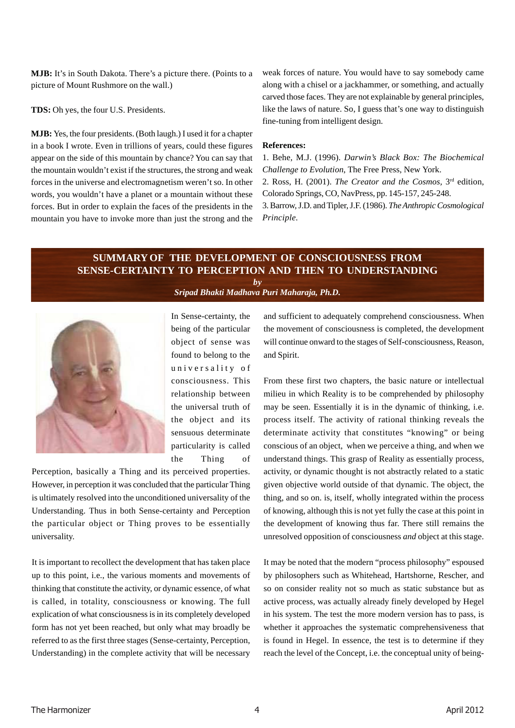**MJB:** It's in South Dakota. There's a picture there. (Points to a picture of Mount Rushmore on the wall.)

**[TDS](http://mahaprabhu.net/sadhusanga/blog1.php/2009/10/01/affectionate-guardians):** Oh yes, the four U.S. Presidents.

**MJB:** Yes, the four presidents. (Both laugh.) I used it for a chapter in a book I wrote. Even in trillions of years, could these figures appear on the side of this mountain by chance? You can say that the mountain wouldn't exist if the structures, the strong and weak forces in the universe and electromagnetism weren't so. In other words, you wouldn't have a planet or a mountain without these forces. But in order to explain the faces of the presidents in the mountain you have to invoke more than just the strong and the weak forces of nature. You would have to say somebody came along with a chisel or a jackhammer, or something, and actually carved those faces. They are not explainable by general principles, like the laws of nature. So, I guess that's one way to distinguish fine-tuning from intelligent design.

#### **References:**

1. Behe, M.J. (1996). *Darwin's Black Box: The Biochemical Challenge to Evolution*, The Free Press, New York.

2. Ross, H. (2001). *The Creator and the Cosmos*, 3<sup>rd</sup> edition, Colorado Springs, CO, NavPress, pp. 145-157, 245-248.

3. Barrow, J.D. and Tipler, J.F. (1986). *The Anthropic Cosmological Principle.*

# **SUMMARY OF THE DEVELOPMENT OF CONSCIOUSNESS FROM SENSE-CERTAINTY TO PERCEPTION AND THEN TO UNDERSTANDING**

*by [Sripad Bhakti Madhava Puri Maharaja, Ph.D.](http://mahaprabhu.net/sadhusanga/blog1.php/2009/10/01/affectionate-guardians)*



In Sense-certainty, the being of the particular object of sense was found to belong to the universality of consciousness. This relationship between the universal truth of the object and its sensuous determinate particularity is called the Thing of

Perception, basically a Thing and its perceived properties. However, in perception it was concluded that the particular Thing is ultimately resolved into the unconditioned universality of the Understanding. Thus in both Sense-certainty and Perception the particular object or Thing proves to be essentially universality.

It is important to recollect the development that has taken place up to this point, i.e., the various moments and movements of thinking that constitute the activity, or dynamic essence, of what is called, in totality, consciousness or knowing. The full explication of what consciousness is in its completely developed form has not yet been reached, but only what may broadly be referred to as the first three stages (Sense-certainty, Perception, Understanding) in the complete activity that will be necessary

and sufficient to adequately comprehend consciousness. When the movement of consciousness is completed, the development will continue onward to the stages of Self-consciousness, Reason, and Spirit.

From these first two chapters, the basic nature or intellectual milieu in which Reality is to be comprehended by philosophy may be seen. Essentially it is in the dynamic of thinking, i.e. process itself. The activity of rational thinking reveals the determinate activity that constitutes "knowing" or being conscious of an object, when we perceive a thing, and when we understand things. This grasp of Reality as essentially process, activity, or dynamic thought is not abstractly related to a static given objective world outside of that dynamic. The object, the thing, and so on. is, itself, wholly integrated within the process of knowing, although this is not yet fully the case at this point in the development of knowing thus far. There still remains the unresolved opposition of consciousness *and* object at this stage.

It may be noted that the modern "process philosophy" espoused by philosophers such as Whitehead, Hartshorne, Rescher, and so on consider reality not so much as static substance but as active process, was actually already finely developed by Hegel in his system. The test the more modern version has to pass, is whether it approaches the systematic comprehensiveness that is found in Hegel. In essence, the test is to determine if they reach the level of the Concept, i.e. the conceptual unity of being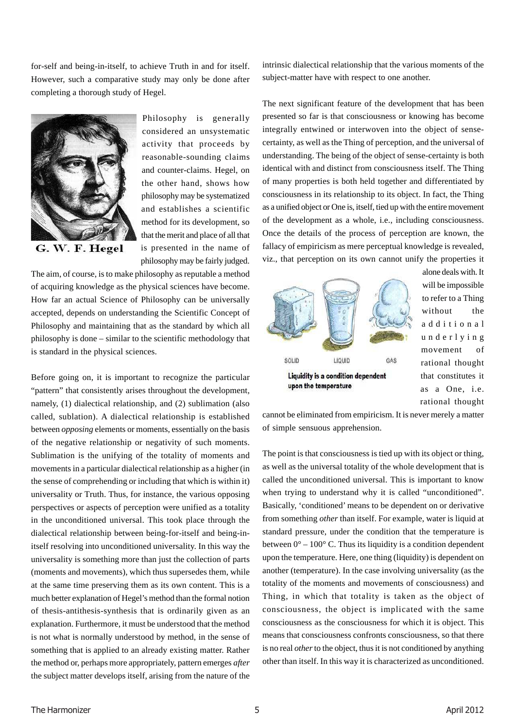for-self and being-in-itself, to achieve Truth in and for itself. However, such a comparative study may only be done after completing a thorough study of Hegel.



Philosophy is generally considered an unsystematic activity that proceeds by reasonable-sounding claims and counter-claims. Hegel, on the other hand, shows how philosophy may be systematized and establishes a scientific method for its development, so that the merit and place of all that is presented in the name of philosophy may be fairly judged.

The aim, of course, is to make philosophy as reputable a method of acquiring knowledge as the physical sciences have become. How far an actual Science of Philosophy can be universally accepted, depends on understanding the Scientific Concept of Philosophy and maintaining that as the standard by which all philosophy is done – similar to the scientific methodology that is standard in the physical sciences.

Before going on, it is important to recognize the particular "pattern" that consistently arises throughout the development, namely, (1) dialectical relationship, and (2) sublimation (also called, sublation). A dialectical relationship is established between *opposing* elements or moments, essentially on the basis of the negative relationship or negativity of such moments. Sublimation is the unifying of the totality of moments and movements in a particular dialectical relationship as a higher (in the sense of comprehending or including that which is within it) universality or Truth. Thus, for instance, the various opposing perspectives or aspects of perception were unified as a totality in the unconditioned universal. This took place through the dialectical relationship between being-for-itself and being-initself resolving into unconditioned universality. In this way the universality is something more than just the collection of parts (moments and movements), which thus supersedes them, while at the same time preserving them as its own content. This is a much better explanation of Hegel's method than the formal notion of thesis-antithesis-synthesis that is ordinarily given as an explanation. Furthermore, it must be understood that the method is not what is normally understood by method, in the sense of something that is applied to an already existing matter. Rather the method or, perhaps more appropriately, pattern emerges *after* the subject matter develops itself, arising from the nature of the intrinsic dialectical relationship that the various moments of the subject-matter have with respect to one another.

The next significant feature of the development that has been presented so far is that consciousness or knowing has become integrally entwined or interwoven into the object of sensecertainty, as well as the Thing of perception, and the universal of understanding. The being of the object of sense-certainty is both identical with and distinct from consciousness itself. The Thing of many properties is both held together and differentiated by consciousness in its relationship to its object. In fact, the Thing as a unified object or One is, itself, tied up with the entire movement of the development as a whole, i.e., including consciousness. Once the details of the process of perception are known, the fallacy of empiricism as mere perceptual knowledge is revealed, viz., that perception on its own cannot unify the properties it



alone deals with. It will be impossible to refer to a Thing without the additional underlying movement of rational thought that constitutes it as a One, i.e. rational thought

cannot be eliminated from empiricism. It is never merely a matter of simple sensuous apprehension.

The point is that consciousness is tied up with its object or thing, as well as the universal totality of the whole development that is called the unconditioned universal. This is important to know when trying to understand why it is called "unconditioned". Basically, 'conditioned' means to be dependent on or derivative from something *other* than itself. For example, water is liquid at standard pressure, under the condition that the temperature is between  $0^{\circ} - 100^{\circ}$  C. Thus its liquidity is a condition dependent upon the temperature. Here, one thing (liquidity) is dependent on another (temperature). In the case involving universality (as the totality of the moments and movements of consciousness) and Thing, in which that totality is taken as the object of consciousness, the object is implicated with the same consciousness as the consciousness for which it is object. This means that consciousness confronts consciousness, so that there is no real *other* to the object, thus it is not conditioned by anything other than itself. In this way it is characterized as unconditioned.